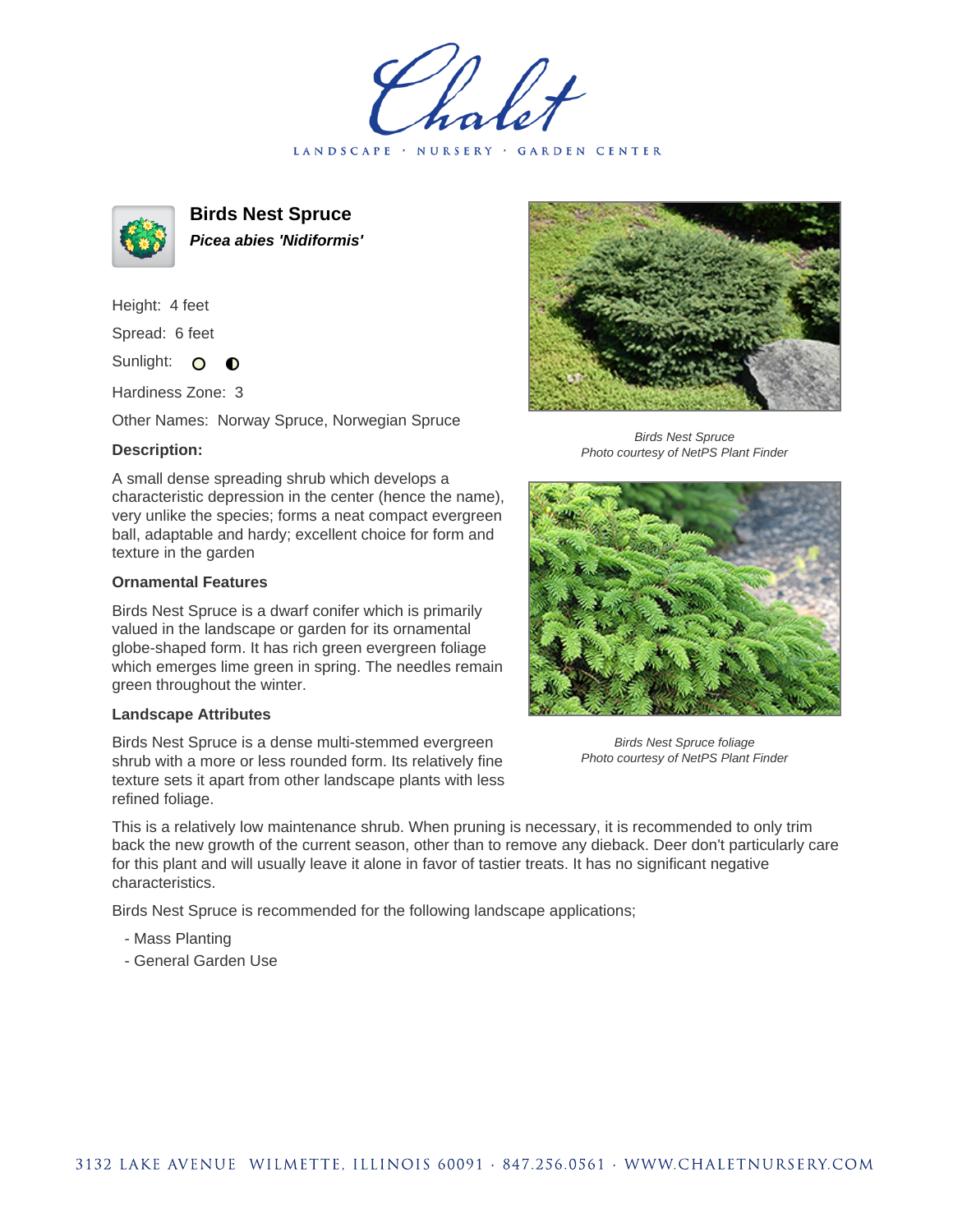LANDSCAPE · NURSERY · GARDEN CENTER



**Birds Nest Spruce Picea abies 'Nidiformis'**

Height: 4 feet Spread: 6 feet

Sunlight: O  $\bullet$ 

Hardiness Zone: 3

Other Names: Norway Spruce, Norwegian Spruce

## **Description:**

A small dense spreading shrub which develops a characteristic depression in the center (hence the name), very unlike the species; forms a neat compact evergreen ball, adaptable and hardy; excellent choice for form and texture in the garden

## **Ornamental Features**

Birds Nest Spruce is a dwarf conifer which is primarily valued in the landscape or garden for its ornamental globe-shaped form. It has rich green evergreen foliage which emerges lime green in spring. The needles remain green throughout the winter.

## **Landscape Attributes**

Birds Nest Spruce is a dense multi-stemmed evergreen shrub with a more or less rounded form. Its relatively fine texture sets it apart from other landscape plants with less refined foliage.



Birds Nest Spruce Photo courtesy of NetPS Plant Finder



Birds Nest Spruce foliage Photo courtesy of NetPS Plant Finder

This is a relatively low maintenance shrub. When pruning is necessary, it is recommended to only trim back the new growth of the current season, other than to remove any dieback. Deer don't particularly care for this plant and will usually leave it alone in favor of tastier treats. It has no significant negative characteristics.

Birds Nest Spruce is recommended for the following landscape applications;

- Mass Planting
- General Garden Use